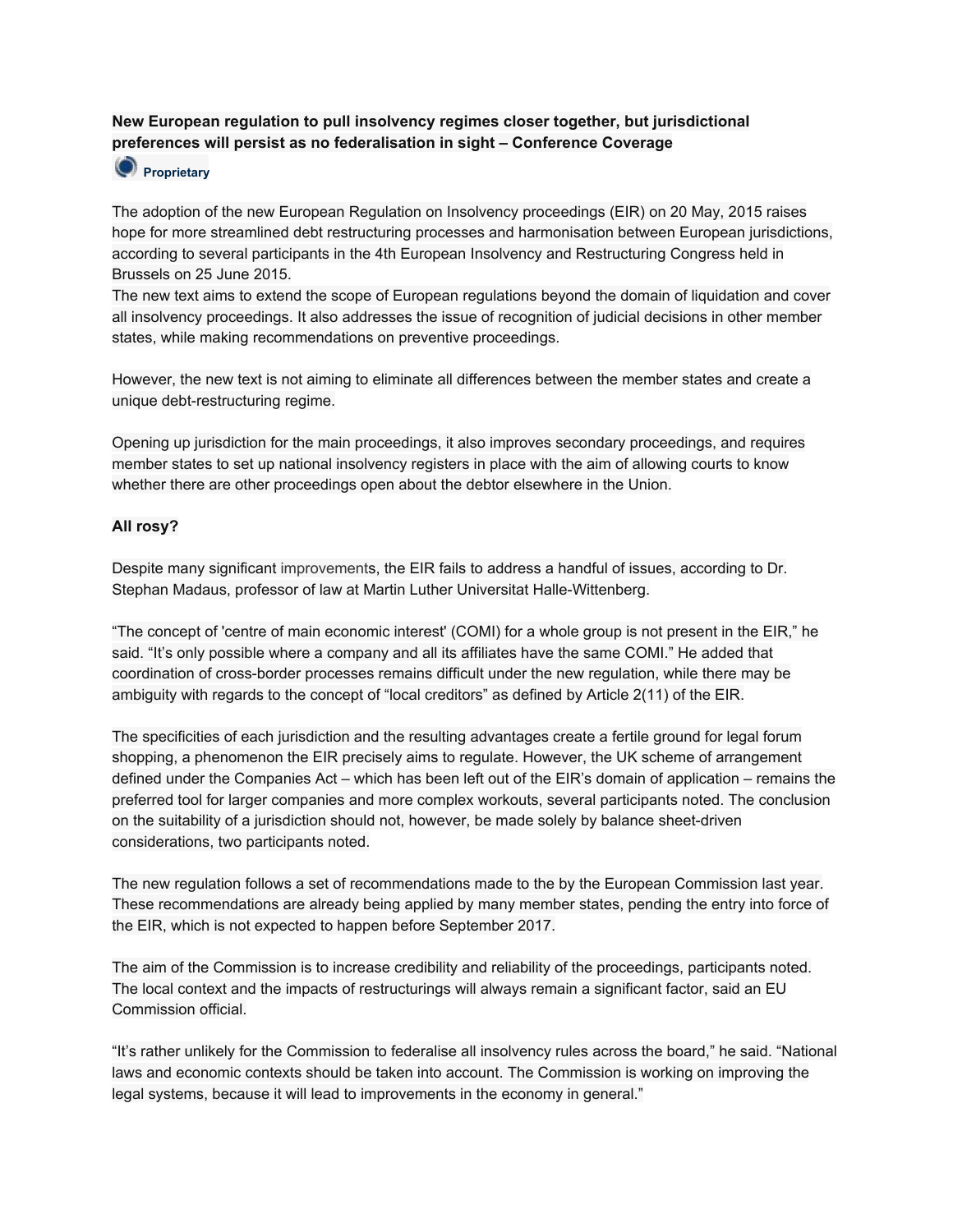# **New European regulation to pull insolvency regimes closer together, but jurisdictional preferences will persist as no federalisation in sight – Conference Coverage**

# **Proprietary**

The adoption of the new European Regulation on Insolvency proceedings (EIR) on 20 May, 2015 raises hope for more streamlined debt restructuring processes and harmonisation between European jurisdictions, according to several participants in the 4th European Insolvency and Restructuring Congress held in Brussels on 25 June 2015.

The new text aims to extend the scope of European regulations beyond the domain of liquidation and cover all insolvency proceedings. It also addresses the issue of recognition of judicial decisions in other member states, while making recommendations on preventive proceedings.

However, the new text is not aiming to eliminate all differences between the member states and create a unique debt-restructuring regime.

Opening up jurisdiction for the main proceedings, it also improves secondary proceedings, and requires member states to set up national insolvency registers in place with the aim of allowing courts to know whether there are other proceedings open about the debtor elsewhere in the Union.

## **All rosy?**

Despite many significant [improvements](http://eu.debtwire.com/intelligence/intelligencedetail.asp?style=34&id=2028835), the EIR fails to address a handful of issues, according to Dr. Stephan Madaus, professor of law at Martin Luther Universitat Halle-Wittenberg.

"The concept of 'centre of main economic interest' (COMI) for a whole group is not present in the EIR," he said. "It's only possible where a company and all its affiliates have the same COMI." He added that coordination of cross-border processes remains difficult under the new regulation, while there may be ambiguity with regards to the concept of "local creditors" as defined by Article 2(11) of the EIR.

The specificities of each jurisdiction and the resulting advantages create a fertile ground for legal forum shopping, a phenomenon the EIR precisely aims to regulate. However, the UK scheme of arrangement defined under the Companies Act – which has been left out of the EIR's domain of application – remains the preferred tool for larger companies and more complex workouts, several participants noted. The conclusion on the suitability of a jurisdiction should not, however, be made solely by balance sheet-driven considerations, two participants noted.

The new regulation follows a set of recommendations made to the by the European Commission last year. These recommendations are already being applied by many member states, pending the entry into force of the EIR, which is not expected to happen before September 2017.

The aim of the Commission is to increase credibility and reliability of the proceedings, participants noted. The local context and the impacts of restructurings will always remain a significant factor, said an EU Commission official.

"It's rather unlikely for the Commission to federalise all insolvency rules across the board," he said. "National laws and economic contexts should be taken into account. The Commission is working on improving the legal systems, because it will lead to improvements in the economy in general."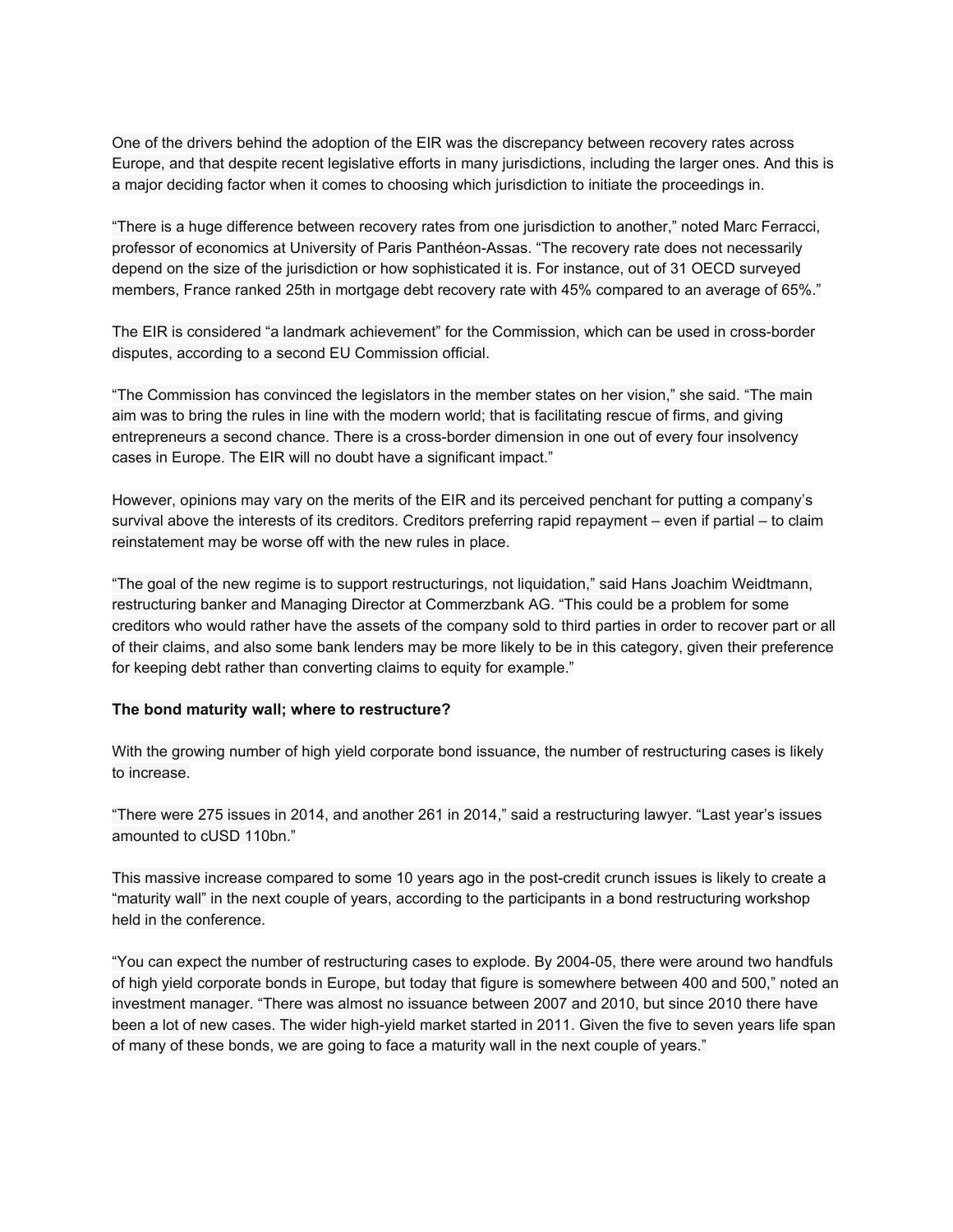One of the drivers behind the adoption of the EIR was the discrepancy between recovery rates across Europe, and that despite recent legislative efforts in many jurisdictions, including the larger ones. And this is a major deciding factor when it comes to choosing which jurisdiction to initiate the proceedings in.

"There is a huge difference between recovery rates from one jurisdiction to another," noted Marc Ferracci, professor of economics at University of Paris Panthéon-Assas. "The recovery rate does not necessarily depend on the size of the jurisdiction or how sophisticated it is. For instance, out of 31 OECD surveyed members, France ranked 25th in mortgage debt recovery rate with 45% compared to an average of 65%."

The EIR is considered "a landmark achievement" for the Commission, which can be used in cross-border disputes, according to a second EU Commission official.

"The Commission has convinced the legislators in the member states on her vision," she said. "The main aim was to bring the rules in line with the modern world; that is facilitating rescue of firms, and giving entrepreneurs a second chance. There is a cross-border dimension in one out of every four insolvency cases in Europe. The EIR will no doubt have a significant impact."

However, opinions may vary on the merits of the EIR and its perceived penchant for putting a company's survival above the interests of its creditors. Creditors preferring rapid repayment – even if partial – to claim reinstatement may be worse off with the new rules in place.

"The goal of the new regime is to support restructurings, not liquidation," said Hans Joachim Weidtmann, restructuring banker and Managing Director at Commerzbank AG. "This could be a problem for some creditors who would rather have the assets of the company sold to third parties in order to recover part or all of their claims, and also some bank lenders may be more likely to be in this category, given their preference for keeping debt rather than converting claims to equity for example."

### **The bond maturity wall; where to restructure?**

With the growing number of high yield corporate bond issuance, the number of restructuring cases is likely to increase.

"There were 275 issues in 2014, and another 261 in 2014," said a restructuring lawyer. "Last year's issues amounted to cUSD 110bn."

This massive increase compared to some 10 years ago in the post-credit crunch issues is likely to create a "maturity wall" in the next couple of years, according to the participants in a bond restructuring workshop held in the conference.

"You can expect the number of restructuring cases to explode. By 2004-05, there were around two handfuls of high yield corporate bonds in Europe, but today that figure is somewhere between 400 and 500," noted an investment manager. "There was almost no issuance between 2007 and 2010, but since 2010 there have been a lot of new cases. The wider high-yield market started in 2011. Given the five to seven years life span of many of these bonds, we are going to face a maturity wall in the next couple of years."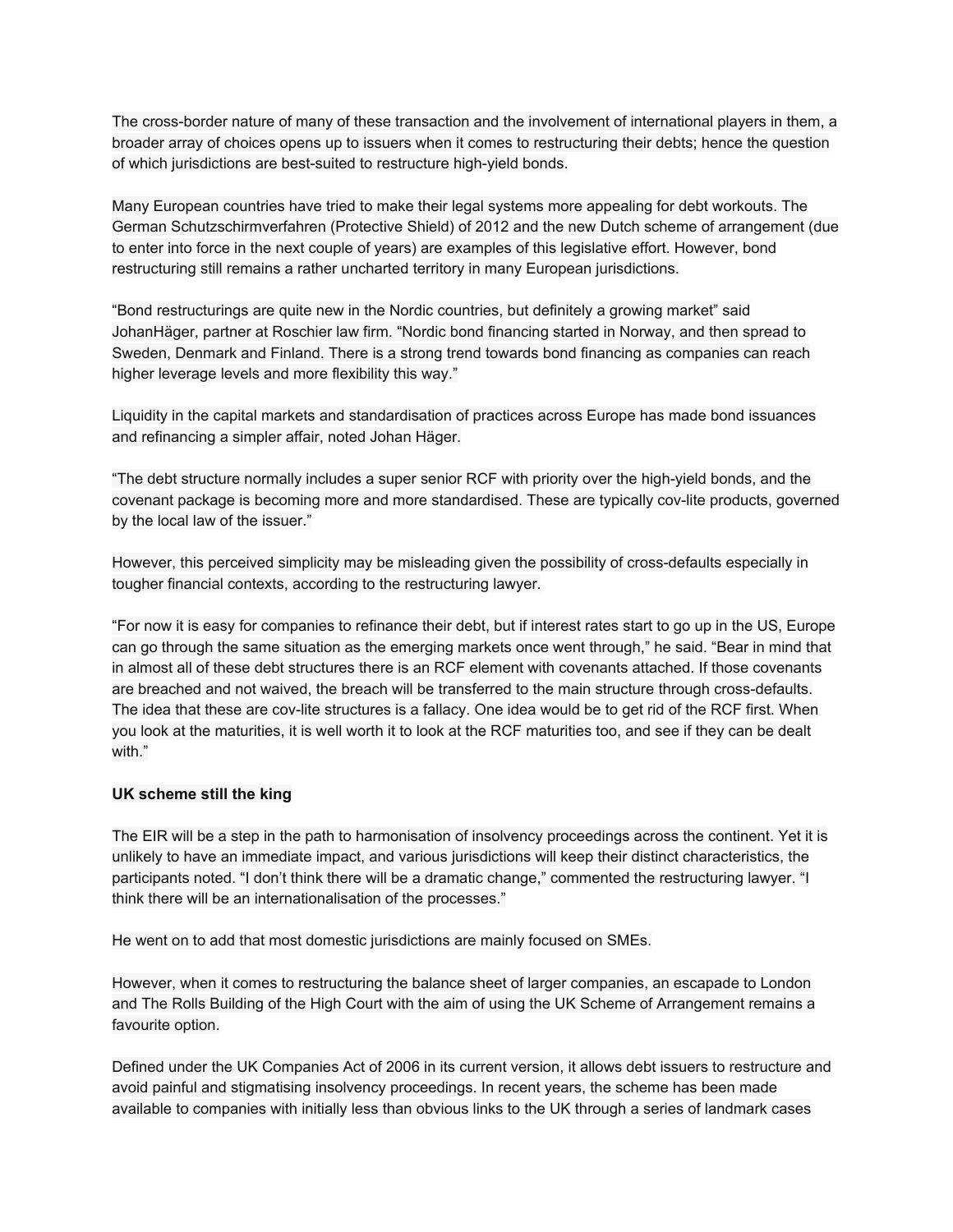The cross-border nature of many of these transaction and the involvement of international players in them, a broader array of choices opens up to issuers when it comes to restructuring their debts; hence the question of which jurisdictions are best-suited to restructure high-yield bonds.

Many European countries have tried to make their legal systems more appealing for debt workouts. The German Schutzschirmverfahren (Protective Shield) of 2012 and the new Dutch scheme of arrangement (due to enter into force in the next couple of years) are examples of this legislative effort. However, bond restructuring still remains a rather uncharted territory in many European jurisdictions.

"Bond restructurings are quite new in the Nordic countries, but definitely a growing market" said JohanHäger, partner at Roschier law firm. "Nordic bond financing started in Norway, and then spread to Sweden, Denmark and Finland. There is a strong trend towards bond financing as companies can reach higher leverage levels and more flexibility this way."

Liquidity in the capital markets and standardisation of practices across Europe has made bond issuances and refinancing a simpler affair, noted Johan Häger.

"The debt structure normally includes a super senior RCF with priority over the high-yield bonds, and the covenant package is becoming more and more standardised. These are typically cov-lite products, governed by the local law of the issuer."

However, this perceived simplicity may be misleading given the possibility of cross-defaults especially in tougher financial contexts, according to the restructuring lawyer.

"For now it is easy for companies to refinance their debt, but if interest rates start to go up in the US, Europe can go through the same situation as the emerging markets once went through," he said. "Bear in mind that in almost all of these debt structures there is an RCF element with covenants attached. If those covenants are breached and not waived, the breach will be transferred to the main structure through cross-defaults. The idea that these are cov-lite structures is a fallacy. One idea would be to get rid of the RCF first. When you look at the maturities, it is well worth it to look at the RCF maturities too, and see if they can be dealt with."

#### **UK scheme still the king**

The EIR will be a step in the path to harmonisation of insolvency proceedings across the continent. Yet it is unlikely to have an immediate impact, and various jurisdictions will keep their distinct characteristics, the participants noted. "I don't think there will be a dramatic change," commented the restructuring lawyer. "I think there will be an internationalisation of the processes."

He went on to add that most domestic jurisdictions are mainly focused on SMEs.

However, when it comes to restructuring the balance sheet of larger companies, an escapade to London and The Rolls Building of the High Court with the aim of using the UK Scheme of Arrangement remains a favourite option.

Defined under the UK Companies Act of 2006 in its current version, it allows debt issuers to restructure and avoid painful and stigmatising insolvency proceedings. In recent years, the scheme has been made available to companies with initially less than obvious links to the UK through a series of landmark cases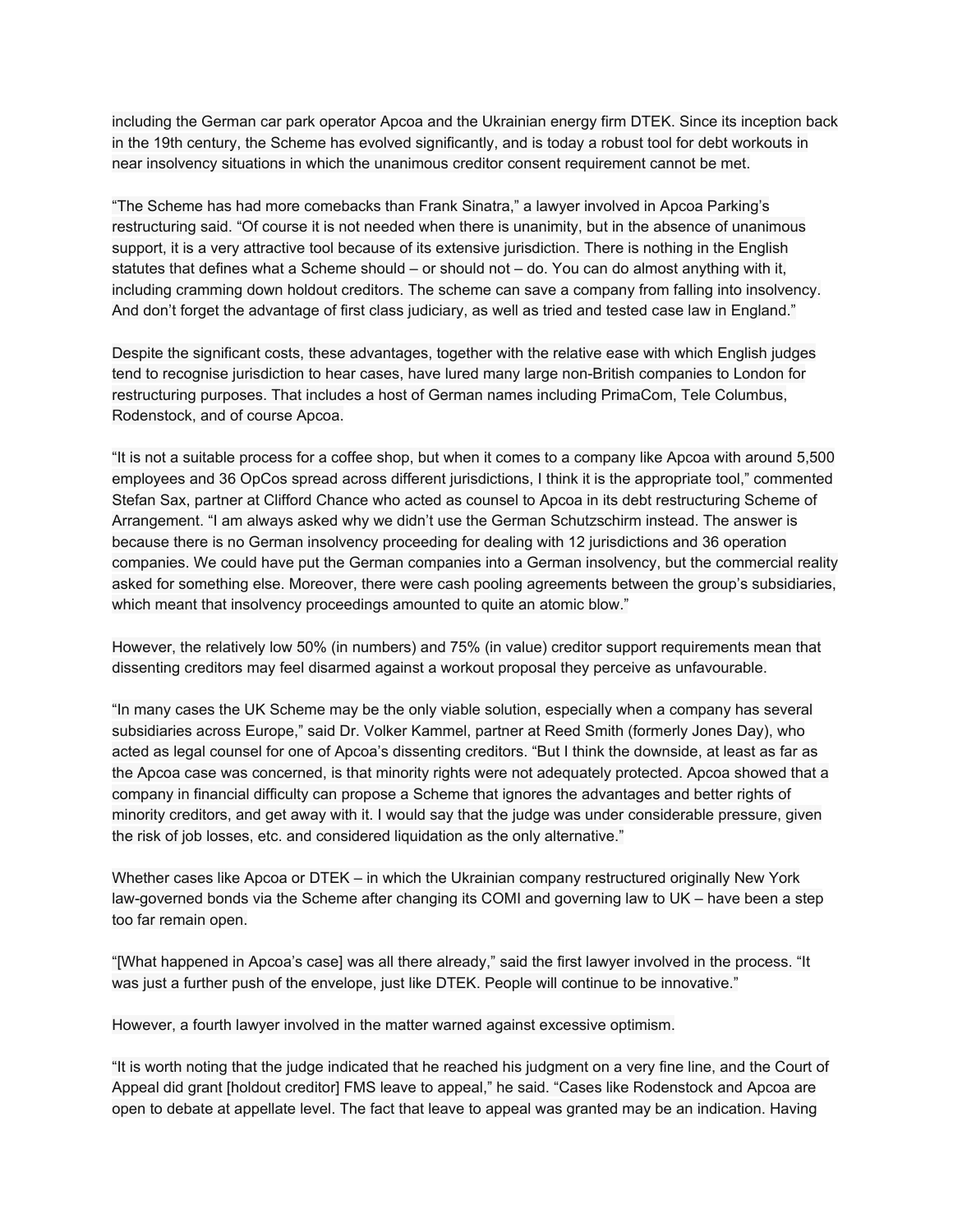including the German car park operator Apcoa and the Ukrainian energy firm DTEK. Since its inception back in the 19th century, the Scheme has evolved significantly, and is today a robust tool for debt workouts in near insolvency situations in which the unanimous creditor consent requirement cannot be met.

"The Scheme has had more comebacks than Frank Sinatra," a lawyer involved in Apcoa Parking's restructuring said. "Of course it is not needed when there is unanimity, but in the absence of unanimous support, it is a very attractive tool because of its extensive jurisdiction. There is nothing in the English statutes that defines what a Scheme should – or should not – do. You can do almost anything with it, including cramming down holdout creditors. The scheme can save a company from falling into insolvency. And don't forget the advantage of first class judiciary, as well as tried and tested case law in England."

Despite the significant costs, these advantages, together with the relative ease with which English judges tend to recognise jurisdiction to hear cases, have lured many large non-British companies to London for restructuring purposes. That includes a host of German names including PrimaCom, Tele Columbus, Rodenstock, and of course Apcoa.

"It is not a suitable process for a coffee shop, but when it comes to a company like Apcoa with around 5,500 employees and 36 OpCos spread across different jurisdictions, I think it is the appropriate tool," commented Stefan Sax, partner at Clifford Chance who acted as counsel to Apcoa in its debt restructuring Scheme of Arrangement. "I am always asked why we didn't use the German Schutzschirm instead. The answer is because there is no German insolvency proceeding for dealing with 12 jurisdictions and 36 operation companies. We could have put the German companies into a German insolvency, but the commercial reality asked for something else. Moreover, there were cash pooling agreements between the group's subsidiaries, which meant that insolvency proceedings amounted to quite an atomic blow."

However, the relatively low 50% (in numbers) and 75% (in value) creditor support requirements mean that dissenting creditors may feel disarmed against a workout proposal they perceive as unfavourable.

"In many cases the UK Scheme may be the only viable solution, especially when a company has several subsidiaries across Europe," said Dr. Volker Kammel, partner at Reed Smith (formerly Jones Day), who acted as legal counsel for one of Apcoa's dissenting creditors. "But I think the downside, at least as far as the Apcoa case was concerned, is that minority rights were not adequately protected. Apcoa showed that a company in financial difficulty can propose a Scheme that ignores the advantages and better rights of minority creditors, and get away with it. I would say that the judge was under considerable pressure, given the risk of job losses, etc. and considered liquidation as the only alternative."

Whether cases like Apcoa or DTEK – in which the Ukrainian company restructured originally New York law-governed bonds via the Scheme after changing its COMI and governing law to UK – have been a step too far remain open.

"[What happened in Apcoa's case] was all there already," said the first lawyer involved in the process. "It was just a further push of the envelope, just like DTEK. People will continue to be innovative."

However, a fourth lawyer involved in the matter warned against excessive optimism.

"It is worth noting that the judge indicated that he reached his judgment on a very fine line, and the Court of Appeal did grant [holdout creditor] FMS leave to appeal," he said. "Cases like Rodenstock and Apcoa are open to debate at appellate level. The fact that leave to appeal was granted may be an indication. Having